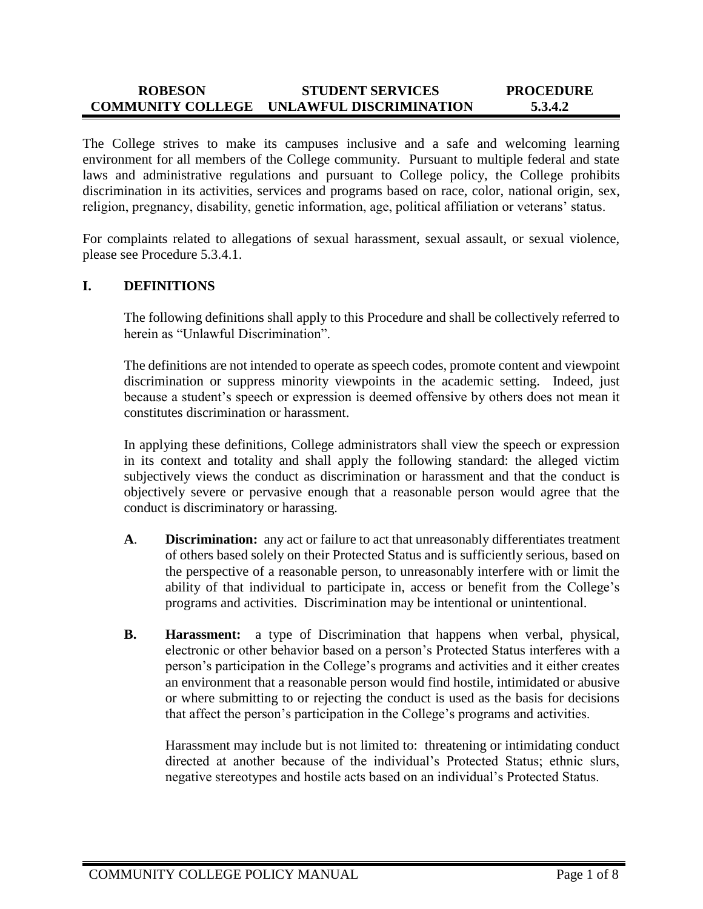#### **ROBESON COMMUNITY COLLEGE UNLAWFUL DISCRIMINATION STUDENT SERVICES PROCEDURE 5.3.4.2**

The College strives to make its campuses inclusive and a safe and welcoming learning environment for all members of the College community. Pursuant to multiple federal and state laws and administrative regulations and pursuant to College policy, the College prohibits discrimination in its activities, services and programs based on race, color, national origin, sex, religion, pregnancy, disability, genetic information, age, political affiliation or veterans' status.

For complaints related to allegations of sexual harassment, sexual assault, or sexual violence, please see Procedure 5.3.4.1.

#### **I. DEFINITIONS**

The following definitions shall apply to this Procedure and shall be collectively referred to herein as "Unlawful Discrimination".

The definitions are not intended to operate as speech codes, promote content and viewpoint discrimination or suppress minority viewpoints in the academic setting. Indeed, just because a student's speech or expression is deemed offensive by others does not mean it constitutes discrimination or harassment.

In applying these definitions, College administrators shall view the speech or expression in its context and totality and shall apply the following standard: the alleged victim subjectively views the conduct as discrimination or harassment and that the conduct is objectively severe or pervasive enough that a reasonable person would agree that the conduct is discriminatory or harassing.

- **A**. **Discrimination:** any act or failure to act that unreasonably differentiates treatment of others based solely on their Protected Status and is sufficiently serious, based on the perspective of a reasonable person, to unreasonably interfere with or limit the ability of that individual to participate in, access or benefit from the College's programs and activities. Discrimination may be intentional or unintentional.
- **B. Harassment:** a type of Discrimination that happens when verbal, physical, electronic or other behavior based on a person's Protected Status interferes with a person's participation in the College's programs and activities and it either creates an environment that a reasonable person would find hostile, intimidated or abusive or where submitting to or rejecting the conduct is used as the basis for decisions that affect the person's participation in the College's programs and activities.

Harassment may include but is not limited to: threatening or intimidating conduct directed at another because of the individual's Protected Status; ethnic slurs, negative stereotypes and hostile acts based on an individual's Protected Status.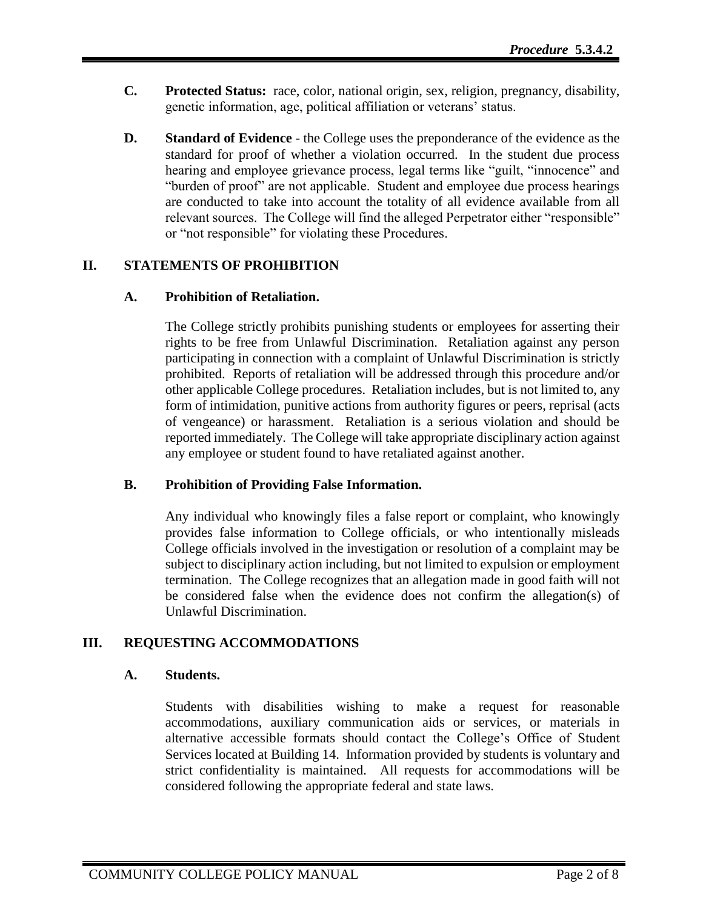- **C. Protected Status:** race, color, national origin, sex, religion, pregnancy, disability, genetic information, age, political affiliation or veterans' status.
- **D. Standard of Evidence**  the College uses the preponderance of the evidence as the standard for proof of whether a violation occurred. In the student due process hearing and employee grievance process, legal terms like "guilt, "innocence" and "burden of proof" are not applicable. Student and employee due process hearings are conducted to take into account the totality of all evidence available from all relevant sources. The College will find the alleged Perpetrator either "responsible" or "not responsible" for violating these Procedures.

# **II. STATEMENTS OF PROHIBITION**

# **A. Prohibition of Retaliation.**

The College strictly prohibits punishing students or employees for asserting their rights to be free from Unlawful Discrimination. Retaliation against any person participating in connection with a complaint of Unlawful Discrimination is strictly prohibited. Reports of retaliation will be addressed through this procedure and/or other applicable College procedures. Retaliation includes, but is not limited to, any form of intimidation, punitive actions from authority figures or peers, reprisal (acts of vengeance) or harassment. Retaliation is a serious violation and should be reported immediately. The College will take appropriate disciplinary action against any employee or student found to have retaliated against another.

# **B. Prohibition of Providing False Information.**

Any individual who knowingly files a false report or complaint, who knowingly provides false information to College officials, or who intentionally misleads College officials involved in the investigation or resolution of a complaint may be subject to disciplinary action including, but not limited to expulsion or employment termination. The College recognizes that an allegation made in good faith will not be considered false when the evidence does not confirm the allegation(s) of Unlawful Discrimination.

# **III. REQUESTING ACCOMMODATIONS**

#### **A. Students.**

Students with disabilities wishing to make a request for reasonable accommodations, auxiliary communication aids or services, or materials in alternative accessible formats should contact the College's Office of Student Services located at Building 14. Information provided by students is voluntary and strict confidentiality is maintained. All requests for accommodations will be considered following the appropriate federal and state laws.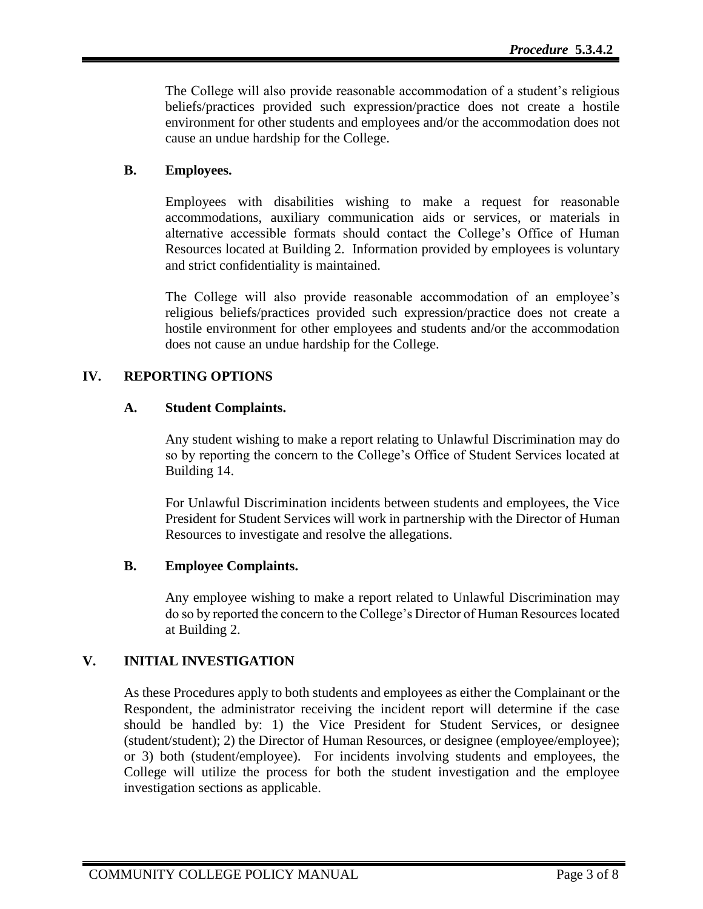The College will also provide reasonable accommodation of a student's religious beliefs/practices provided such expression/practice does not create a hostile environment for other students and employees and/or the accommodation does not cause an undue hardship for the College.

# **B. Employees.**

Employees with disabilities wishing to make a request for reasonable accommodations, auxiliary communication aids or services, or materials in alternative accessible formats should contact the College's Office of Human Resources located at Building 2. Information provided by employees is voluntary and strict confidentiality is maintained.

The College will also provide reasonable accommodation of an employee's religious beliefs/practices provided such expression/practice does not create a hostile environment for other employees and students and/or the accommodation does not cause an undue hardship for the College.

# **IV. REPORTING OPTIONS**

# **A. Student Complaints.**

Any student wishing to make a report relating to Unlawful Discrimination may do so by reporting the concern to the College's Office of Student Services located at Building 14.

For Unlawful Discrimination incidents between students and employees, the Vice President for Student Services will work in partnership with the Director of Human Resources to investigate and resolve the allegations.

# **B. Employee Complaints.**

Any employee wishing to make a report related to Unlawful Discrimination may do so by reported the concern to the College's Director of Human Resources located at Building 2.

# **V. INITIAL INVESTIGATION**

As these Procedures apply to both students and employees as either the Complainant or the Respondent, the administrator receiving the incident report will determine if the case should be handled by: 1) the Vice President for Student Services, or designee (student/student); 2) the Director of Human Resources, or designee (employee/employee); or 3) both (student/employee). For incidents involving students and employees, the College will utilize the process for both the student investigation and the employee investigation sections as applicable.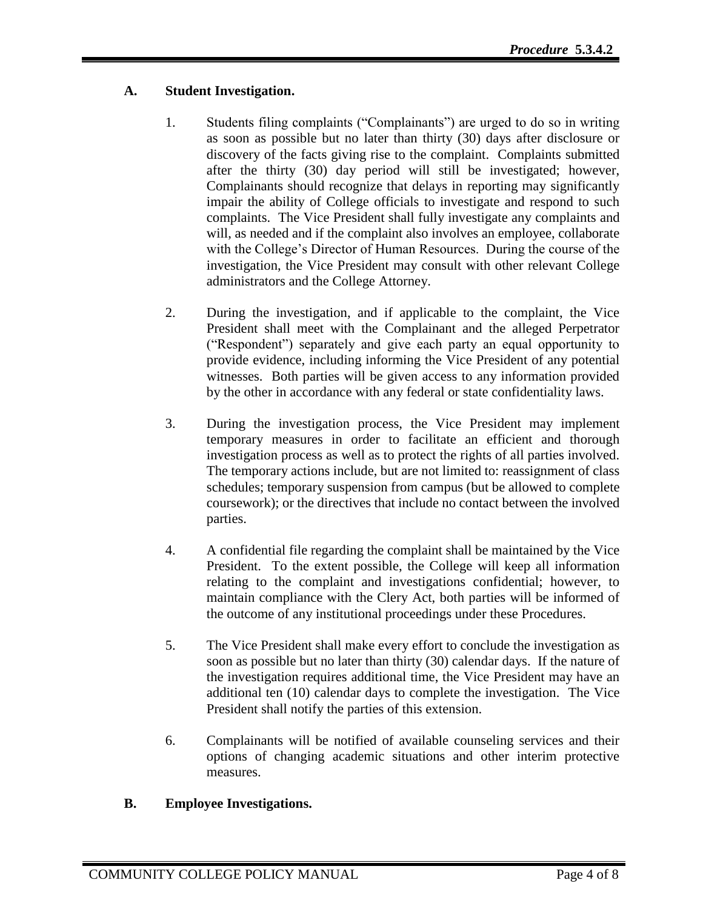# **A. Student Investigation.**

- 1. Students filing complaints ("Complainants") are urged to do so in writing as soon as possible but no later than thirty (30) days after disclosure or discovery of the facts giving rise to the complaint. Complaints submitted after the thirty (30) day period will still be investigated; however, Complainants should recognize that delays in reporting may significantly impair the ability of College officials to investigate and respond to such complaints. The Vice President shall fully investigate any complaints and will, as needed and if the complaint also involves an employee, collaborate with the College's Director of Human Resources. During the course of the investigation, the Vice President may consult with other relevant College administrators and the College Attorney.
- 2. During the investigation, and if applicable to the complaint, the Vice President shall meet with the Complainant and the alleged Perpetrator ("Respondent") separately and give each party an equal opportunity to provide evidence, including informing the Vice President of any potential witnesses. Both parties will be given access to any information provided by the other in accordance with any federal or state confidentiality laws.
- 3. During the investigation process, the Vice President may implement temporary measures in order to facilitate an efficient and thorough investigation process as well as to protect the rights of all parties involved. The temporary actions include, but are not limited to: reassignment of class schedules; temporary suspension from campus (but be allowed to complete coursework); or the directives that include no contact between the involved parties.
- 4. A confidential file regarding the complaint shall be maintained by the Vice President. To the extent possible, the College will keep all information relating to the complaint and investigations confidential; however, to maintain compliance with the Clery Act, both parties will be informed of the outcome of any institutional proceedings under these Procedures.
- 5. The Vice President shall make every effort to conclude the investigation as soon as possible but no later than thirty (30) calendar days. If the nature of the investigation requires additional time, the Vice President may have an additional ten (10) calendar days to complete the investigation. The Vice President shall notify the parties of this extension.
- 6. Complainants will be notified of available counseling services and their options of changing academic situations and other interim protective measures.

# **B. Employee Investigations.**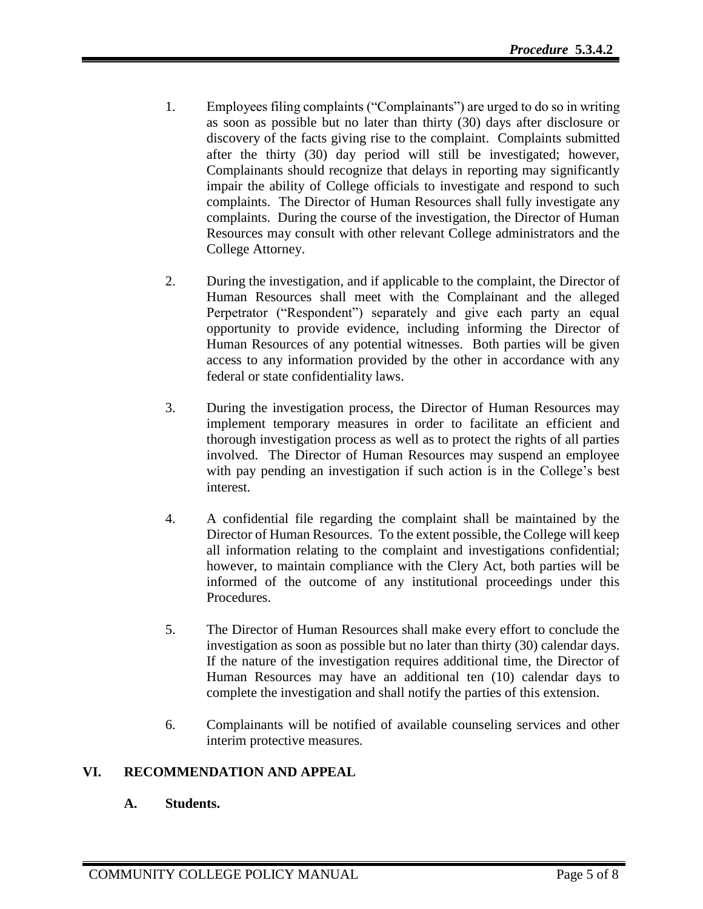- 1. Employees filing complaints ("Complainants") are urged to do so in writing as soon as possible but no later than thirty (30) days after disclosure or discovery of the facts giving rise to the complaint. Complaints submitted after the thirty (30) day period will still be investigated; however, Complainants should recognize that delays in reporting may significantly impair the ability of College officials to investigate and respond to such complaints. The Director of Human Resources shall fully investigate any complaints. During the course of the investigation, the Director of Human Resources may consult with other relevant College administrators and the College Attorney.
- 2. During the investigation, and if applicable to the complaint, the Director of Human Resources shall meet with the Complainant and the alleged Perpetrator ("Respondent") separately and give each party an equal opportunity to provide evidence, including informing the Director of Human Resources of any potential witnesses. Both parties will be given access to any information provided by the other in accordance with any federal or state confidentiality laws.
- 3. During the investigation process, the Director of Human Resources may implement temporary measures in order to facilitate an efficient and thorough investigation process as well as to protect the rights of all parties involved. The Director of Human Resources may suspend an employee with pay pending an investigation if such action is in the College's best interest.
- 4. A confidential file regarding the complaint shall be maintained by the Director of Human Resources. To the extent possible, the College will keep all information relating to the complaint and investigations confidential; however, to maintain compliance with the Clery Act, both parties will be informed of the outcome of any institutional proceedings under this Procedures.
- 5. The Director of Human Resources shall make every effort to conclude the investigation as soon as possible but no later than thirty (30) calendar days. If the nature of the investigation requires additional time, the Director of Human Resources may have an additional ten (10) calendar days to complete the investigation and shall notify the parties of this extension.
- 6. Complainants will be notified of available counseling services and other interim protective measures.

# **VI. RECOMMENDATION AND APPEAL**

#### **A. Students.**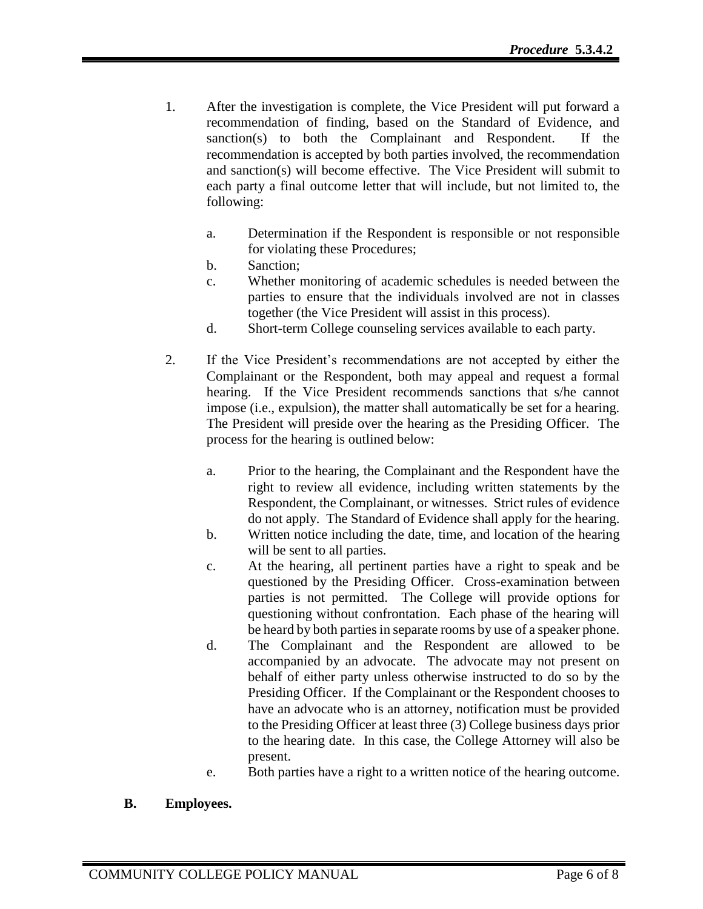- 1. After the investigation is complete, the Vice President will put forward a recommendation of finding, based on the Standard of Evidence, and sanction(s) to both the Complainant and Respondent. If the recommendation is accepted by both parties involved, the recommendation and sanction(s) will become effective. The Vice President will submit to each party a final outcome letter that will include, but not limited to, the following:
	- a. Determination if the Respondent is responsible or not responsible for violating these Procedures;
	- b. Sanction;
	- c. Whether monitoring of academic schedules is needed between the parties to ensure that the individuals involved are not in classes together (the Vice President will assist in this process).
	- d. Short-term College counseling services available to each party.
- 2. If the Vice President's recommendations are not accepted by either the Complainant or the Respondent, both may appeal and request a formal hearing. If the Vice President recommends sanctions that s/he cannot impose (i.e., expulsion), the matter shall automatically be set for a hearing. The President will preside over the hearing as the Presiding Officer. The process for the hearing is outlined below:
	- a. Prior to the hearing, the Complainant and the Respondent have the right to review all evidence, including written statements by the Respondent, the Complainant, or witnesses. Strict rules of evidence do not apply. The Standard of Evidence shall apply for the hearing.
	- b. Written notice including the date, time, and location of the hearing will be sent to all parties.
	- c. At the hearing, all pertinent parties have a right to speak and be questioned by the Presiding Officer. Cross-examination between parties is not permitted. The College will provide options for questioning without confrontation. Each phase of the hearing will be heard by both parties in separate rooms by use of a speaker phone.
	- d. The Complainant and the Respondent are allowed to be accompanied by an advocate. The advocate may not present on behalf of either party unless otherwise instructed to do so by the Presiding Officer. If the Complainant or the Respondent chooses to have an advocate who is an attorney, notification must be provided to the Presiding Officer at least three (3) College business days prior to the hearing date. In this case, the College Attorney will also be present.
	- e. Both parties have a right to a written notice of the hearing outcome.
- **B. Employees.**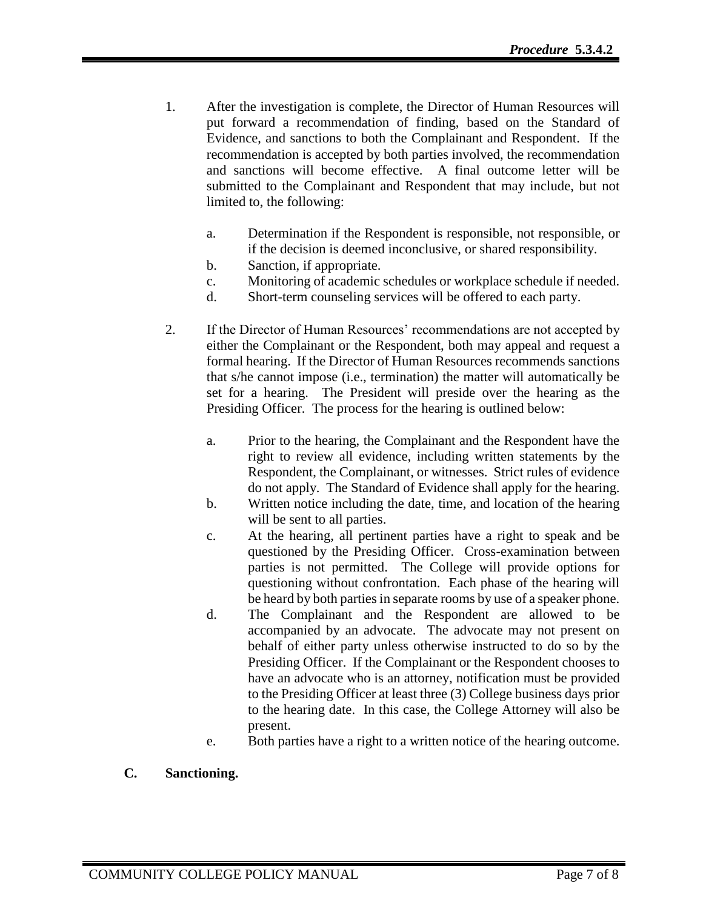- 1. After the investigation is complete, the Director of Human Resources will put forward a recommendation of finding, based on the Standard of Evidence, and sanctions to both the Complainant and Respondent. If the recommendation is accepted by both parties involved, the recommendation and sanctions will become effective. A final outcome letter will be submitted to the Complainant and Respondent that may include, but not limited to, the following:
	- a. Determination if the Respondent is responsible, not responsible, or if the decision is deemed inconclusive, or shared responsibility.
	- b. Sanction, if appropriate.
	- c. Monitoring of academic schedules or workplace schedule if needed.
	- d. Short-term counseling services will be offered to each party.
- 2. If the Director of Human Resources' recommendations are not accepted by either the Complainant or the Respondent, both may appeal and request a formal hearing. If the Director of Human Resources recommends sanctions that s/he cannot impose (i.e., termination) the matter will automatically be set for a hearing. The President will preside over the hearing as the Presiding Officer. The process for the hearing is outlined below:
	- a. Prior to the hearing, the Complainant and the Respondent have the right to review all evidence, including written statements by the Respondent, the Complainant, or witnesses. Strict rules of evidence do not apply. The Standard of Evidence shall apply for the hearing.
	- b. Written notice including the date, time, and location of the hearing will be sent to all parties.
	- c. At the hearing, all pertinent parties have a right to speak and be questioned by the Presiding Officer. Cross-examination between parties is not permitted. The College will provide options for questioning without confrontation. Each phase of the hearing will be heard by both parties in separate rooms by use of a speaker phone.
	- d. The Complainant and the Respondent are allowed to be accompanied by an advocate. The advocate may not present on behalf of either party unless otherwise instructed to do so by the Presiding Officer. If the Complainant or the Respondent chooses to have an advocate who is an attorney, notification must be provided to the Presiding Officer at least three (3) College business days prior to the hearing date. In this case, the College Attorney will also be present.
	- e. Both parties have a right to a written notice of the hearing outcome.

# **C. Sanctioning.**